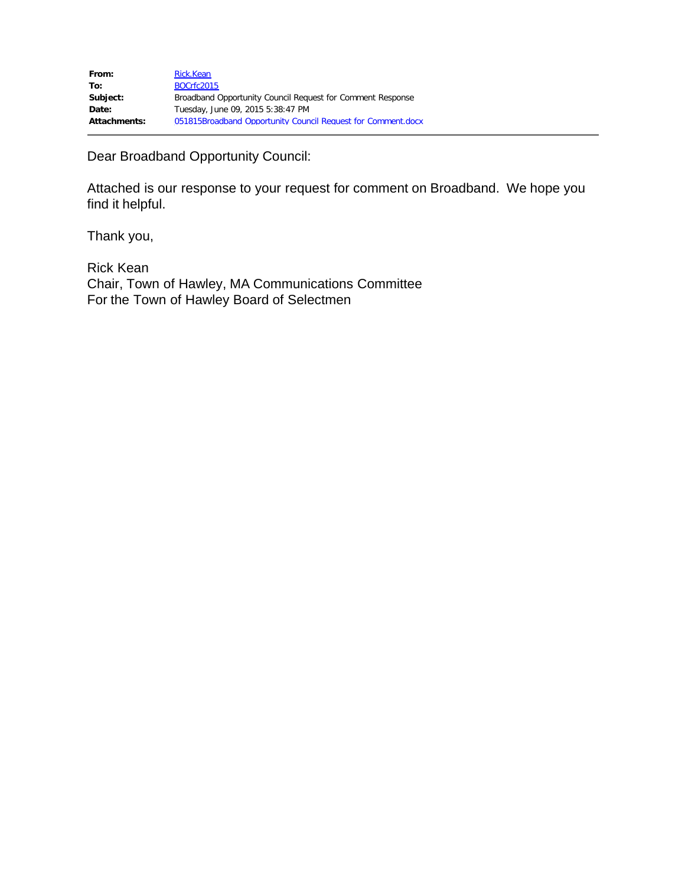| From:               | Rick.Kean                                                    |
|---------------------|--------------------------------------------------------------|
| To:                 | <b>BOCrfc2015</b>                                            |
| Subject:            | Broadband Opportunity Council Request for Comment Response   |
| Date:               | Tuesday, June 09, 2015 5:38:47 PM                            |
| <b>Attachments:</b> | 051815Broadband Opportunity Council Request for Comment.docx |

Dear Broadband Opportunity Council:

Attached is our response to your request for comment on Broadband. We hope you find it helpful.

Thank you,

Rick Kean Chair, Town of Hawley, MA Communications Committee For the Town of Hawley Board of Selectmen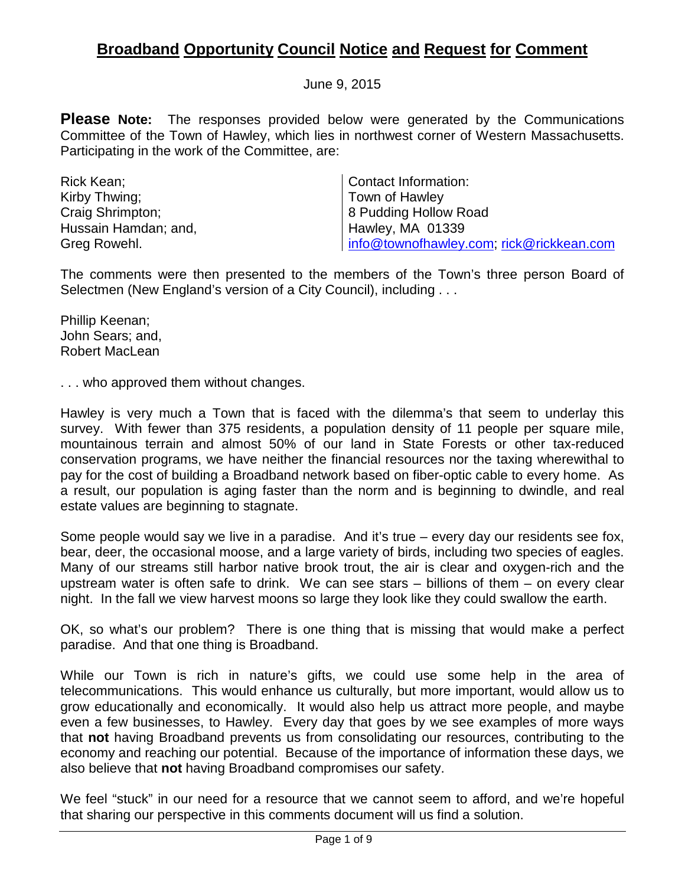# **Broadband Opportunity Council Notice and Request for Comment**

June 9, 2015

**Please Note:** The responses provided below were generated by the Communications Committee of the Town of Hawley, which lies in northwest corner of Western Massachusetts. Participating in the work of the Committee, are:

| Rick Kean;           | Contact Information:                     |
|----------------------|------------------------------------------|
| Kirby Thwing:        | Town of Hawley                           |
| Craig Shrimpton;     | 8 Pudding Hollow Road                    |
| Hussain Hamdan; and, | <b>Hawley, MA 01339</b>                  |
| Greg Rowehl.         | info@townofhawley.com; rick@rickkean.com |

The comments were then presented to the members of the Town's three person Board of Selectmen (New England's version of a City Council), including . . .

Phillip Keenan; John Sears; and, Robert MacLean

. . . who approved them without changes.

Hawley is very much a Town that is faced with the dilemma's that seem to underlay this survey. With fewer than 375 residents, a population density of 11 people per square mile, mountainous terrain and almost 50% of our land in State Forests or other tax-reduced conservation programs, we have neither the financial resources nor the taxing wherewithal to pay for the cost of building a Broadband network based on fiber-optic cable to every home. As a result, our population is aging faster than the norm and is beginning to dwindle, and real estate values are beginning to stagnate.

Some people would say we live in a paradise. And it's true – every day our residents see fox, bear, deer, the occasional moose, and a large variety of birds, including two species of eagles. Many of our streams still harbor native brook trout, the air is clear and oxygen-rich and the upstream water is often safe to drink. We can see stars – billions of them – on every clear night. In the fall we view harvest moons so large they look like they could swallow the earth.

OK, so what's our problem? There is one thing that is missing that would make a perfect paradise. And that one thing is Broadband.

While our Town is rich in nature's gifts, we could use some help in the area of telecommunications. This would enhance us culturally, but more important, would allow us to grow educationally and economically. It would also help us attract more people, and maybe even a few businesses, to Hawley. Every day that goes by we see examples of more ways that **not** having Broadband prevents us from consolidating our resources, contributing to the economy and reaching our potential. Because of the importance of information these days, we also believe that **not** having Broadband compromises our safety.

We feel "stuck" in our need for a resource that we cannot seem to afford, and we're hopeful that sharing our perspective in this comments document will us find a solution.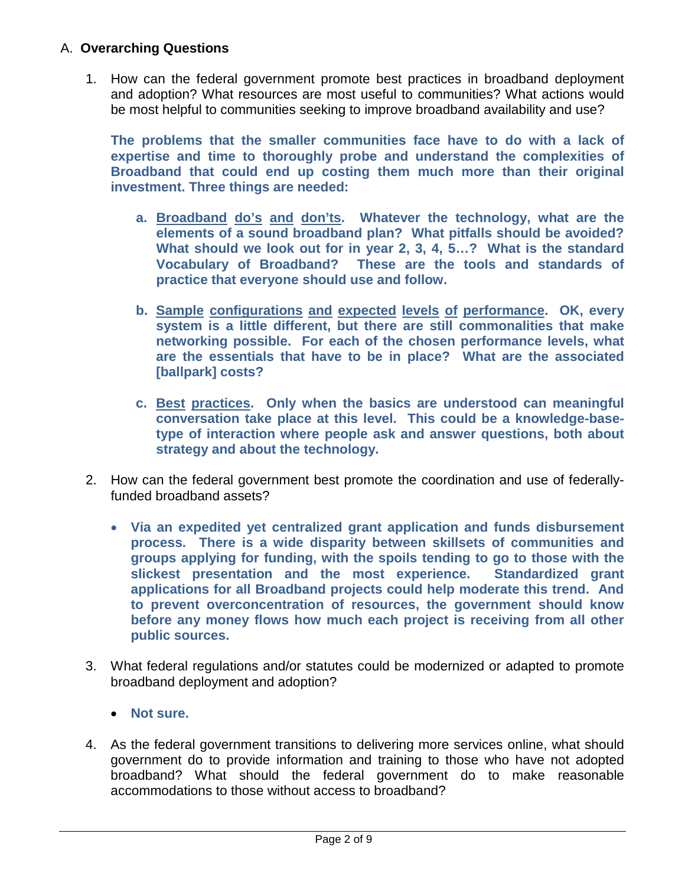# A. **Overarching Questions**

1. How can the federal government promote best practices in broadband deployment and adoption? What resources are most useful to communities? What actions would be most helpful to communities seeking to improve broadband availability and use?

**The problems that the smaller communities face have to do with a lack of expertise and time to thoroughly probe and understand the complexities of Broadband that could end up costing them much more than their original investment. Three things are needed:**

- **a. Broadband do's and don'ts. Whatever the technology, what are the elements of a sound broadband plan? What pitfalls should be avoided? What should we look out for in year 2, 3, 4, 5…? What is the standard Vocabulary of Broadband? These are the tools and standards of practice that everyone should use and follow.**
- **b. Sample configurations and expected levels of performance. OK, every system is a little different, but there are still commonalities that make networking possible. For each of the chosen performance levels, what are the essentials that have to be in place? What are the associated [ballpark] costs?**
- **c. Best practices. Only when the basics are understood can meaningful conversation take place at this level. This could be a knowledge-basetype of interaction where people ask and answer questions, both about strategy and about the technology.**
- 2. How can the federal government best promote the coordination and use of federallyfunded broadband assets?
	- **Via an expedited yet centralized grant application and funds disbursement process. There is a wide disparity between skillsets of communities and groups applying for funding, with the spoils tending to go to those with the slickest presentation and the most experience. Standardized grant applications for all Broadband projects could help moderate this trend. And to prevent overconcentration of resources, the government should know before any money flows how much each project is receiving from all other public sources.**
- 3. What federal regulations and/or statutes could be modernized or adapted to promote broadband deployment and adoption?
	- **Not sure.**
- 4. As the federal government transitions to delivering more services online, what should government do to provide information and training to those who have not adopted broadband? What should the federal government do to make reasonable accommodations to those without access to broadband?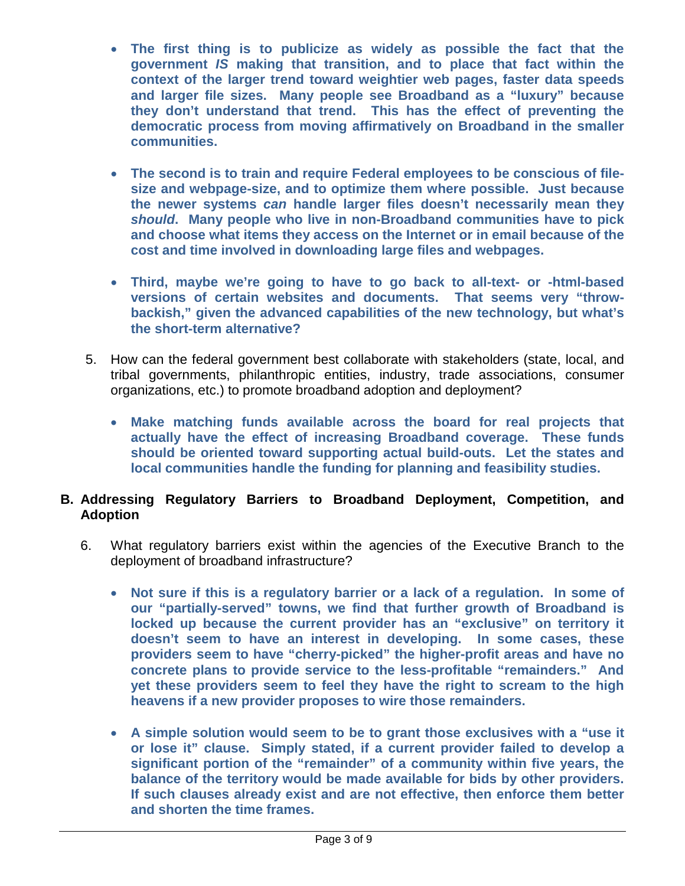- **The first thing is to publicize as widely as possible the fact that the government** *IS* **making that transition, and to place that fact within the context of the larger trend toward weightier web pages, faster data speeds and larger file sizes. Many people see Broadband as a "luxury" because they don't understand that trend. This has the effect of preventing the democratic process from moving affirmatively on Broadband in the smaller communities.**
- **The second is to train and require Federal employees to be conscious of filesize and webpage-size, and to optimize them where possible. Just because the newer systems** *can* **handle larger files doesn't necessarily mean they**  *should***. Many people who live in non-Broadband communities have to pick and choose what items they access on the Internet or in email because of the cost and time involved in downloading large files and webpages.**
- **Third, maybe we're going to have to go back to all-text- or -html-based versions of certain websites and documents. That seems very "throwbackish," given the advanced capabilities of the new technology, but what's the short-term alternative?**
- 5. How can the federal government best collaborate with stakeholders (state, local, and tribal governments, philanthropic entities, industry, trade associations, consumer organizations, etc.) to promote broadband adoption and deployment?
	- **Make matching funds available across the board for real projects that actually have the effect of increasing Broadband coverage. These funds should be oriented toward supporting actual build-outs. Let the states and local communities handle the funding for planning and feasibility studies.**

## **B. Addressing Regulatory Barriers to Broadband Deployment, Competition, and Adoption**

- 6. What regulatory barriers exist within the agencies of the Executive Branch to the deployment of broadband infrastructure?
	- **Not sure if this is a regulatory barrier or a lack of a regulation. In some of our "partially-served" towns, we find that further growth of Broadband is locked up because the current provider has an "exclusive" on territory it doesn't seem to have an interest in developing. In some cases, these providers seem to have "cherry-picked" the higher-profit areas and have no concrete plans to provide service to the less-profitable "remainders." And yet these providers seem to feel they have the right to scream to the high heavens if a new provider proposes to wire those remainders.**
	- **A simple solution would seem to be to grant those exclusives with a "use it or lose it" clause. Simply stated, if a current provider failed to develop a significant portion of the "remainder" of a community within five years, the balance of the territory would be made available for bids by other providers. If such clauses already exist and are not effective, then enforce them better and shorten the time frames.**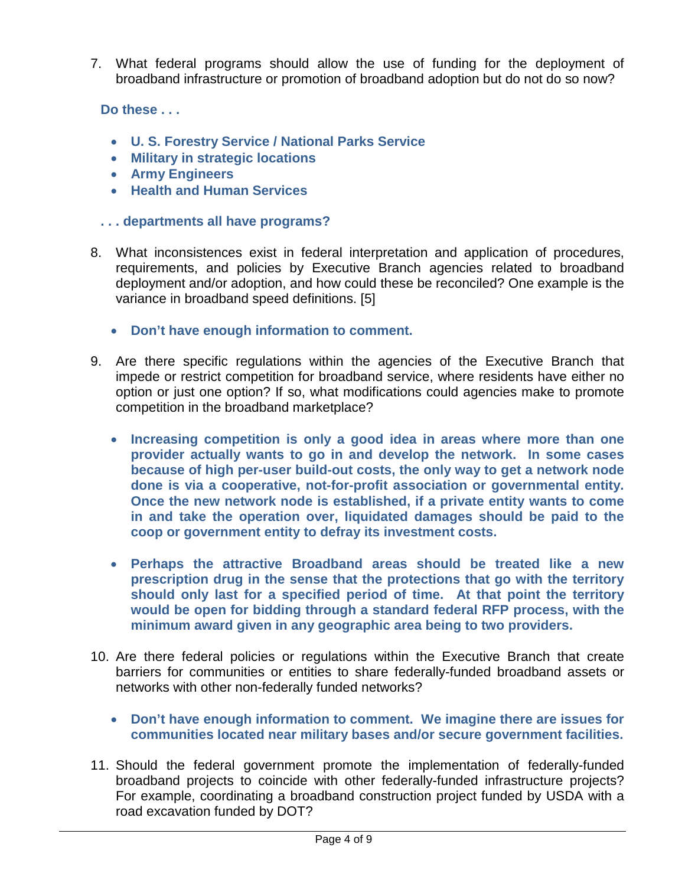7. What federal programs should allow the use of funding for the deployment of broadband infrastructure or promotion of broadband adoption but do not do so now?

**Do these . . .**

- **U. S. Forestry Service / National Parks Service**
- **Military in strategic locations**
- **Army Engineers**
- **Health and Human Services**
- **. . . departments all have programs?**
- 8. What inconsistences exist in federal interpretation and application of procedures, requirements, and policies by Executive Branch agencies related to broadband deployment and/or adoption, and how could these be reconciled? One example is the variance in broadband speed definitions. [5]
	- **Don't have enough information to comment.**
- 9. Are there specific regulations within the agencies of the Executive Branch that impede or restrict competition for broadband service, where residents have either no option or just one option? If so, what modifications could agencies make to promote competition in the broadband marketplace?
	- **Increasing competition is only a good idea in areas where more than one provider actually wants to go in and develop the network. In some cases because of high per-user build-out costs, the only way to get a network node done is via a cooperative, not-for-profit association or governmental entity. Once the new network node is established, if a private entity wants to come in and take the operation over, liquidated damages should be paid to the coop or government entity to defray its investment costs.**
	- **Perhaps the attractive Broadband areas should be treated like a new prescription drug in the sense that the protections that go with the territory should only last for a specified period of time. At that point the territory would be open for bidding through a standard federal RFP process, with the minimum award given in any geographic area being to two providers.**
- 10. Are there federal policies or regulations within the Executive Branch that create barriers for communities or entities to share federally-funded broadband assets or networks with other non-federally funded networks?
	- **Don't have enough information to comment. We imagine there are issues for communities located near military bases and/or secure government facilities.**
- 11. Should the federal government promote the implementation of federally-funded broadband projects to coincide with other federally-funded infrastructure projects? For example, coordinating a broadband construction project funded by USDA with a road excavation funded by DOT?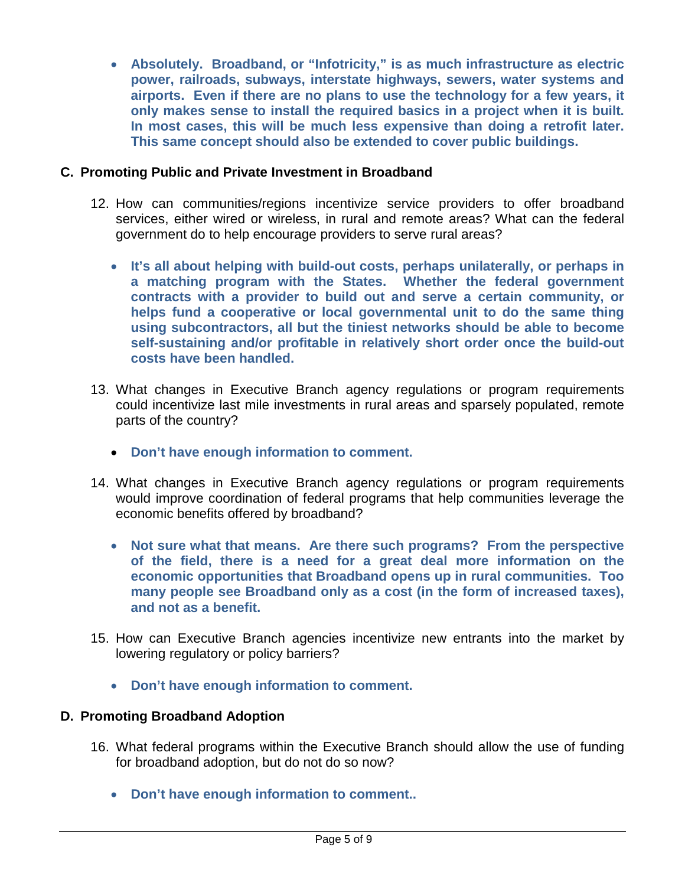• **Absolutely. Broadband, or "Infotricity," is as much infrastructure as electric power, railroads, subways, interstate highways, sewers, water systems and airports. Even if there are no plans to use the technology for a few years, it only makes sense to install the required basics in a project when it is built. In most cases, this will be much less expensive than doing a retrofit later. This same concept should also be extended to cover public buildings.**

## **C. Promoting Public and Private Investment in Broadband**

- 12. How can communities/regions incentivize service providers to offer broadband services, either wired or wireless, in rural and remote areas? What can the federal government do to help encourage providers to serve rural areas?
	- **It's all about helping with build-out costs, perhaps unilaterally, or perhaps in a matching program with the States. Whether the federal government contracts with a provider to build out and serve a certain community, or helps fund a cooperative or local governmental unit to do the same thing using subcontractors, all but the tiniest networks should be able to become self-sustaining and/or profitable in relatively short order once the build-out costs have been handled.**
- 13. What changes in Executive Branch agency regulations or program requirements could incentivize last mile investments in rural areas and sparsely populated, remote parts of the country?
	- **Don't have enough information to comment.**
- 14. What changes in Executive Branch agency regulations or program requirements would improve coordination of federal programs that help communities leverage the economic benefits offered by broadband?
	- **Not sure what that means. Are there such programs? From the perspective of the field, there is a need for a great deal more information on the economic opportunities that Broadband opens up in rural communities. Too many people see Broadband only as a cost (in the form of increased taxes), and not as a benefit.**
- 15. How can Executive Branch agencies incentivize new entrants into the market by lowering regulatory or policy barriers?
	- **Don't have enough information to comment.**

#### **D. Promoting Broadband Adoption**

- 16. What federal programs within the Executive Branch should allow the use of funding for broadband adoption, but do not do so now?
	- **Don't have enough information to comment..**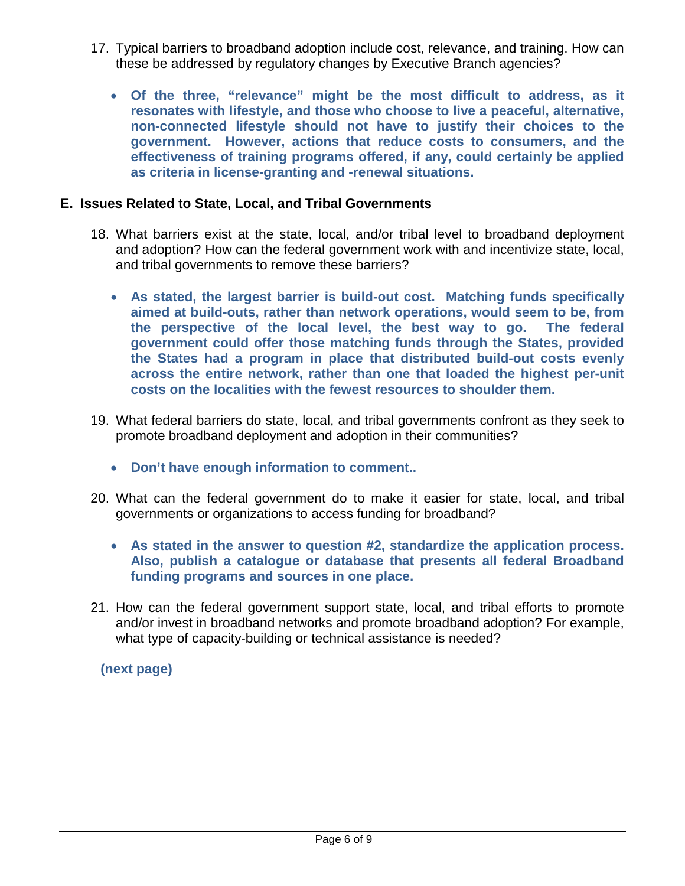- 17. Typical barriers to broadband adoption include cost, relevance, and training. How can these be addressed by regulatory changes by Executive Branch agencies?
	- **Of the three, "relevance" might be the most difficult to address, as it resonates with lifestyle, and those who choose to live a peaceful, alternative, non-connected lifestyle should not have to justify their choices to the government. However, actions that reduce costs to consumers, and the effectiveness of training programs offered, if any, could certainly be applied as criteria in license-granting and -renewal situations.**

## **E. Issues Related to State, Local, and Tribal Governments**

- 18. What barriers exist at the state, local, and/or tribal level to broadband deployment and adoption? How can the federal government work with and incentivize state, local, and tribal governments to remove these barriers?
	- **As stated, the largest barrier is build-out cost. Matching funds specifically aimed at build-outs, rather than network operations, would seem to be, from the perspective of the local level, the best way to go. The federal government could offer those matching funds through the States, provided the States had a program in place that distributed build-out costs evenly across the entire network, rather than one that loaded the highest per-unit costs on the localities with the fewest resources to shoulder them.**
- 19. What federal barriers do state, local, and tribal governments confront as they seek to promote broadband deployment and adoption in their communities?
	- **Don't have enough information to comment..**
- 20. What can the federal government do to make it easier for state, local, and tribal governments or organizations to access funding for broadband?
	- **As stated in the answer to question #2, standardize the application process. Also, publish a catalogue or database that presents all federal Broadband funding programs and sources in one place.**
- 21. How can the federal government support state, local, and tribal efforts to promote and/or invest in broadband networks and promote broadband adoption? For example, what type of capacity-building or technical assistance is needed?

**(next page)**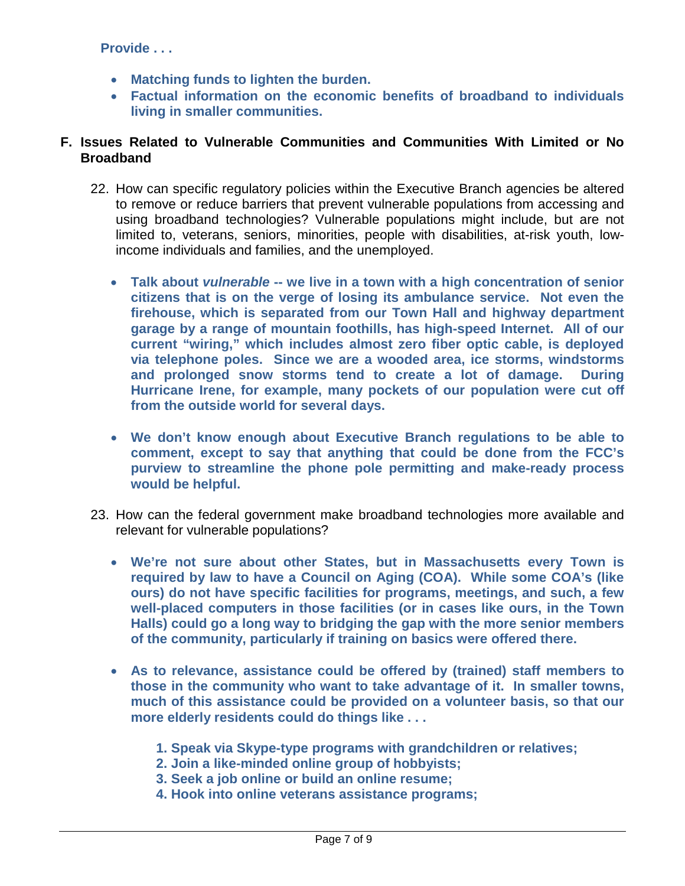- **Matching funds to lighten the burden.**
- **Factual information on the economic benefits of broadband to individuals living in smaller communities.**

## **F. Issues Related to Vulnerable Communities and Communities With Limited or No Broadband**

- 22. How can specific regulatory policies within the Executive Branch agencies be altered to remove or reduce barriers that prevent vulnerable populations from accessing and using broadband technologies? Vulnerable populations might include, but are not limited to, veterans, seniors, minorities, people with disabilities, at-risk youth, lowincome individuals and families, and the unemployed.
	- **Talk about** *vulnerable* **-- we live in a town with a high concentration of senior citizens that is on the verge of losing its ambulance service. Not even the firehouse, which is separated from our Town Hall and highway department garage by a range of mountain foothills, has high-speed Internet. All of our current "wiring," which includes almost zero fiber optic cable, is deployed via telephone poles. Since we are a wooded area, ice storms, windstorms and prolonged snow storms tend to create a lot of damage. During Hurricane Irene, for example, many pockets of our population were cut off from the outside world for several days.**
	- **We don't know enough about Executive Branch regulations to be able to comment, except to say that anything that could be done from the FCC's purview to streamline the phone pole permitting and make-ready process would be helpful.**
- 23. How can the federal government make broadband technologies more available and relevant for vulnerable populations?
	- **We're not sure about other States, but in Massachusetts every Town is required by law to have a Council on Aging (COA). While some COA's (like ours) do not have specific facilities for programs, meetings, and such, a few well-placed computers in those facilities (or in cases like ours, in the Town Halls) could go a long way to bridging the gap with the more senior members of the community, particularly if training on basics were offered there.**
	- **As to relevance, assistance could be offered by (trained) staff members to those in the community who want to take advantage of it. In smaller towns, much of this assistance could be provided on a volunteer basis, so that our more elderly residents could do things like . . .**
		- **1. Speak via Skype-type programs with grandchildren or relatives;**
		- **2. Join a like-minded online group of hobbyists;**
		- **3. Seek a job online or build an online resume;**
		- **4. Hook into online veterans assistance programs;**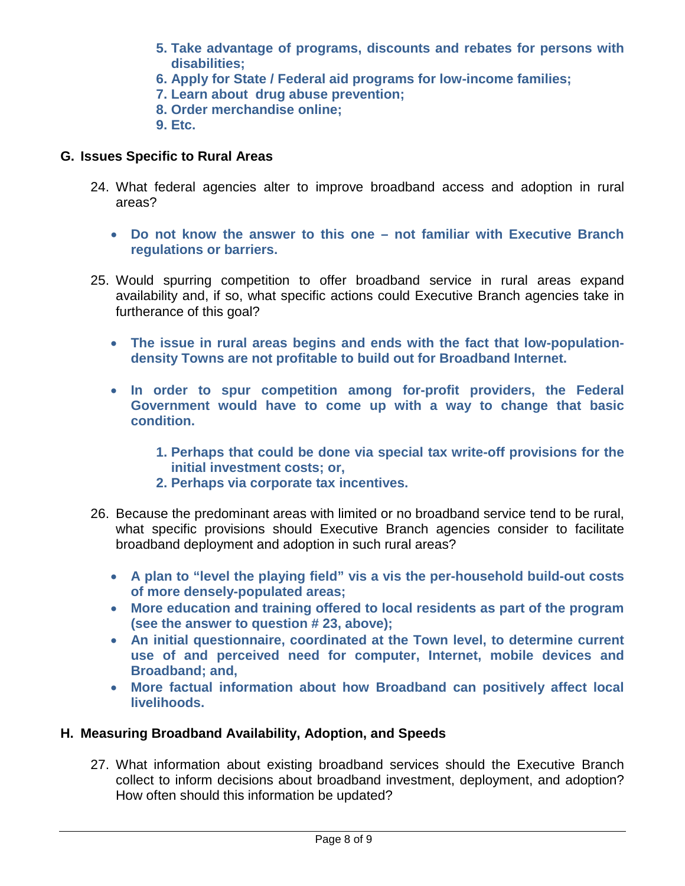- **5. Take advantage of programs, discounts and rebates for persons with disabilities;**
- **6. Apply for State / Federal aid programs for low-income families;**
- **7. Learn about drug abuse prevention;**
- **8. Order merchandise online;**
- **9. Etc.**

## **G. Issues Specific to Rural Areas**

- 24. What federal agencies alter to improve broadband access and adoption in rural areas?
	- **Do not know the answer to this one – not familiar with Executive Branch regulations or barriers.**
- 25. Would spurring competition to offer broadband service in rural areas expand availability and, if so, what specific actions could Executive Branch agencies take in furtherance of this goal?
	- **The issue in rural areas begins and ends with the fact that low-populationdensity Towns are not profitable to build out for Broadband Internet.**
	- **In order to spur competition among for-profit providers, the Federal Government would have to come up with a way to change that basic condition.**
		- **1. Perhaps that could be done via special tax write-off provisions for the initial investment costs; or,**
		- **2. Perhaps via corporate tax incentives.**
- 26. Because the predominant areas with limited or no broadband service tend to be rural, what specific provisions should Executive Branch agencies consider to facilitate broadband deployment and adoption in such rural areas?
	- **A plan to "level the playing field" vis a vis the per-household build-out costs of more densely-populated areas;**
	- **More education and training offered to local residents as part of the program (see the answer to question # 23, above);**
	- **An initial questionnaire, coordinated at the Town level, to determine current use of and perceived need for computer, Internet, mobile devices and Broadband; and,**
	- **More factual information about how Broadband can positively affect local livelihoods.**

# **H. Measuring Broadband Availability, Adoption, and Speeds**

27. What information about existing broadband services should the Executive Branch collect to inform decisions about broadband investment, deployment, and adoption? How often should this information be updated?